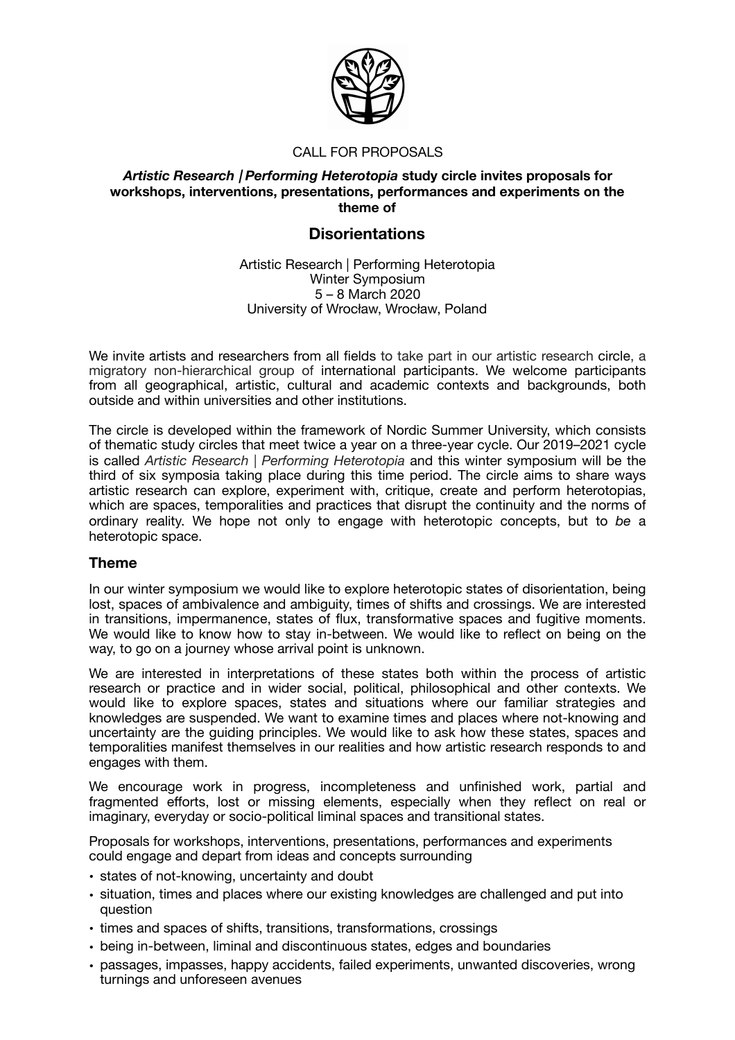

# CALL FOR PROPOSALS

## *Artistic Research | Performing Heterotopia* **study circle invites proposals for workshops, interventions, presentations, performances and experiments on the theme of**

# **Disorientations**

Artistic Research | Performing Heterotopia Winter Symposium 5 – 8 March 2020 University of Wrocław, Wrocław, Poland

We invite artists and researchers from all fields to take part in our artistic research circle, a migratory non-hierarchical group of international participants. We welcome participants from all geographical, artistic, cultural and academic contexts and backgrounds, both outside and within universities and other institutions.

The circle is developed within the framework of Nordic Summer University, which consists of thematic study circles that meet twice a year on a three-year cycle. Our 2019–2021 cycle is called *Artistic Research | Performing Heterotopia* and this winter symposium will be the third of six symposia taking place during this time period. The circle aims to share ways artistic research can explore, experiment with, critique, create and perform heterotopias, which are spaces, temporalities and practices that disrupt the continuity and the norms of ordinary reality. We hope not only to engage with heterotopic concepts, but to *be* a heterotopic space.

# **Theme**

In our winter symposium we would like to explore heterotopic states of disorientation, being lost, spaces of ambivalence and ambiguity, times of shifts and crossings. We are interested in transitions, impermanence, states of flux, transformative spaces and fugitive moments. We would like to know how to stay in-between. We would like to reflect on being on the way, to go on a journey whose arrival point is unknown.

We are interested in interpretations of these states both within the process of artistic research or practice and in wider social, political, philosophical and other contexts. We would like to explore spaces, states and situations where our familiar strategies and knowledges are suspended. We want to examine times and places where not-knowing and uncertainty are the guiding principles. We would like to ask how these states, spaces and temporalities manifest themselves in our realities and how artistic research responds to and engages with them.

We encourage work in progress, incompleteness and unfinished work, partial and fragmented efforts, lost or missing elements, especially when they reflect on real or imaginary, everyday or socio-political liminal spaces and transitional states.

Proposals for workshops, interventions, presentations, performances and experiments could engage and depart from ideas and concepts surrounding

- states of not-knowing, uncertainty and doubt
- situation, times and places where our existing knowledges are challenged and put into question
- times and spaces of shifts, transitions, transformations, crossings
- being in-between, liminal and discontinuous states, edges and boundaries
- passages, impasses, happy accidents, failed experiments, unwanted discoveries, wrong turnings and unforeseen avenues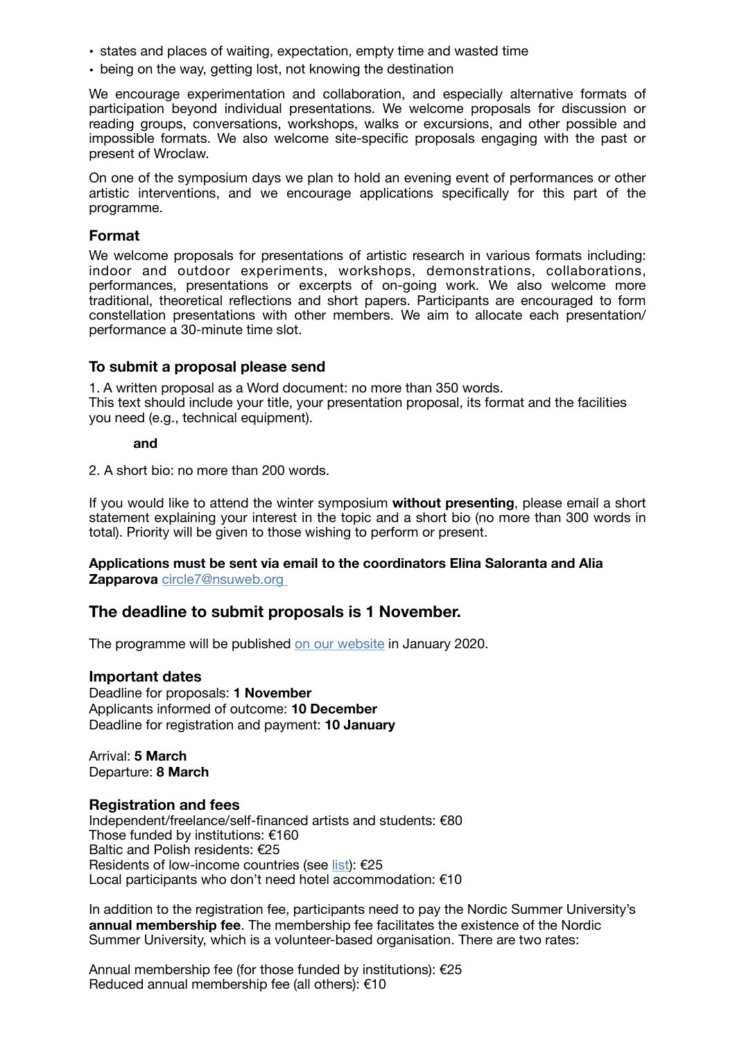- states and places of waiting, expectation, empty time and wasted time
- being on the way, getting lost, not knowing the destination

We encourage experimentation and collaboration, and especially alternative formats of participation beyond individual presentations. We welcome proposals for discussion or reading groups, conversations, workshops, walks or excursions, and other possible and impossible formats. We also welcome site-specific proposals engaging with the past or present of Wroclaw.

On one of the symposium days we plan to hold an evening event of performances or other artistic interventions, and we encourage applications specifically for this part of the programme.

# **Format**

We welcome proposals for presentations of artistic research in various formats including: indoor and outdoor experiments, workshops, demonstrations, collaborations, performances, presentations or excerpts of on-going work. We also welcome more traditional, theoretical reflections and short papers. Participants are encouraged to form constellation presentations with other members. We aim to allocate each presentation/ performance a 30-minute time slot.

## **To submit a proposal please send**

1. A written proposal as a Word document: no more than 350 words. This text should include your title, your presentation proposal, its format and the facilities you need (e.g., technical equipment).

#### **and**

2. A short bio: no more than 200 words.

If you would like to attend the winter symposium **without presenting**, please email a short statement explaining your interest in the topic and a short bio (no more than 300 words in total). Priority will be given to those wishing to perform or present.

## **Applications must be sent via email to the coordinators Elina Saloranta and Alia Zapparova** [circle7@nsuweb.org](mailto:circle7@nsuweb.org)

## **The deadline to submit proposals is 1 November.**

The programme will be published [on our website](http://nordic.university/study-circles/7-artistic-research-performing-heterotopia/) in January 2020.

## **Important dates**

Deadline for proposals: **1 November**  Applicants informed of outcome: **10 December**  Deadline for registration and payment: **10 January** 

Arrival: **5 March**  Departure: **8 March** 

## **Registration and fees**

Independent/freelance/self-financed artists and students: €80 Those funded by institutions: €160 Baltic and Polish residents: €25 Residents of low-income countries (see [list\)](https://wellcome.ac.uk/funding/guidance/low-and-middle-income-countries): €25 Local participants who don't need hotel accommodation: €10

In addition to the registration fee, participants need to pay the Nordic Summer University's **annual membership fee**. The membership fee facilitates the existence of the Nordic Summer University, which is a volunteer-based organisation. There are two rates:

Annual membership fee (for those funded by institutions): €25 Reduced annual membership fee (all others): €10